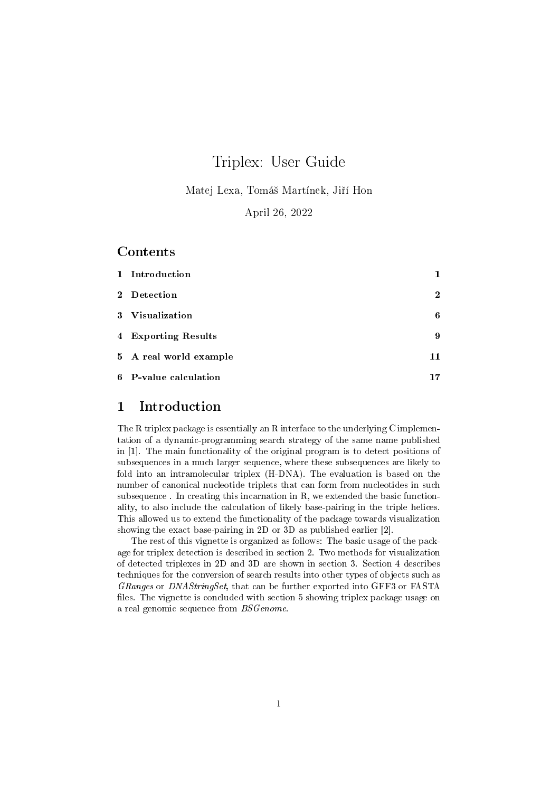# Triplex: User Guide

Matej Lexa, Tomáš Martínek, Jiří Hon

April 26, 2022

## Contents

| 1 Introduction         | 1           |
|------------------------|-------------|
| 2 Detection            | $\mathbf 2$ |
| 3 Visualization        | 6           |
| 4 Exporting Results    | 9           |
| 5 A real world example | 11          |
| 6 P-value calculation  | 17          |

## 1 Introduction

The R triplex package is essentially an R interface to the underlying C implementation of a dynamic-programming search strategy of the same name published in [1]. The main functionality of the original program is to detect positions of subsequences in a much larger sequence, where these subsequences are likely to fold into an intramolecular triplex (H-DNA). The evaluation is based on the number of canonical nucleotide triplets that can form from nucleotides in such subsequence . In creating this incarnation in R, we extended the basic functionality, to also include the calculation of likely base-pairing in the triple helices. This allowed us to extend the functionality of the package towards visualization showing the exact base-pairing in 2D or 3D as published earlier [2].

The rest of this vignette is organized as follows: The basic usage of the package for triplex detection is described in section 2. Two methods for visualization of detected triplexes in 2D and 3D are shown in section 3. Section 4 describes techniques for the conversion of search results into other types of objects such as GRanges or DNAStringSet, that can be further exported into GFF3 or FASTA files. The vignette is concluded with section 5 showing triplex package usage on a real genomic sequence from BSGenome.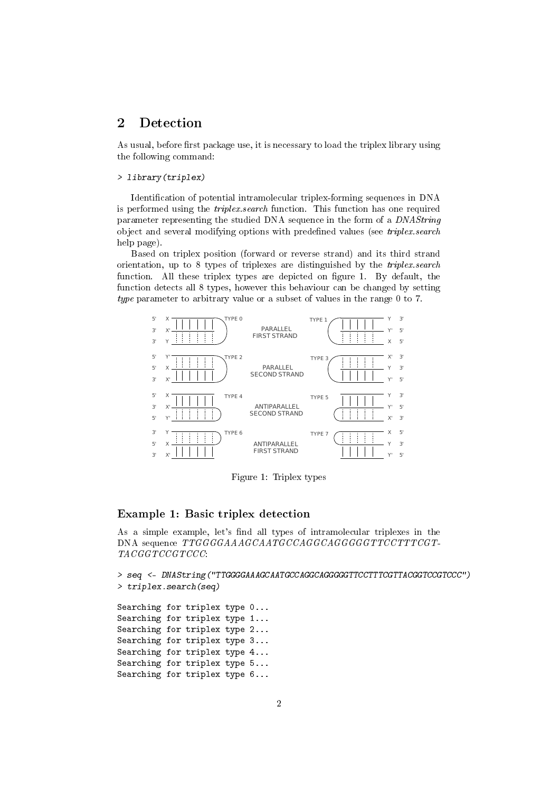## 2 Detection

As usual, before first package use, it is necessary to load the triplex library using the following command:

#### > library(triplex)

Identification of potential intramolecular triplex-forming sequences in DNA is performed using the triplex.search function. This function has one required parameter representing the studied DNA sequence in the form of a DNAString object and several modifying options with predefined values (see triplex.search help page).

Based on triplex position (forward or reverse strand) and its third strand orientation, up to 8 types of triplexes are distinguished by the triplex.search function. All these triplex types are depicted on figure 1. By default, the function detects all 8 types, however this behaviour can be changed by setting type parameter to arbitrary value or a subset of values in the range 0 to 7.



Figure 1: Triplex types

#### Example 1: Basic triplex detection

As a simple example, let's find all types of intramolecular triplexes in the DNA sequence TTGGGGAAAGCAATGCCAGGCAGGGGGTTCCTTTCGT-TACGGTCCGTCCC:

```
> seq <- DNAString("TTGGGGAAAGCAATGCCAGGCAGGGGGTTCCTTTCGTTACGGTCCGTCCC")
> triplex.search(seq)
Searching for triplex type 0...
Searching for triplex type 1...
Searching for triplex type 2...
Searching for triplex type 3...
Searching for triplex type 4...
Searching for triplex type 5...
Searching for triplex type 6...
```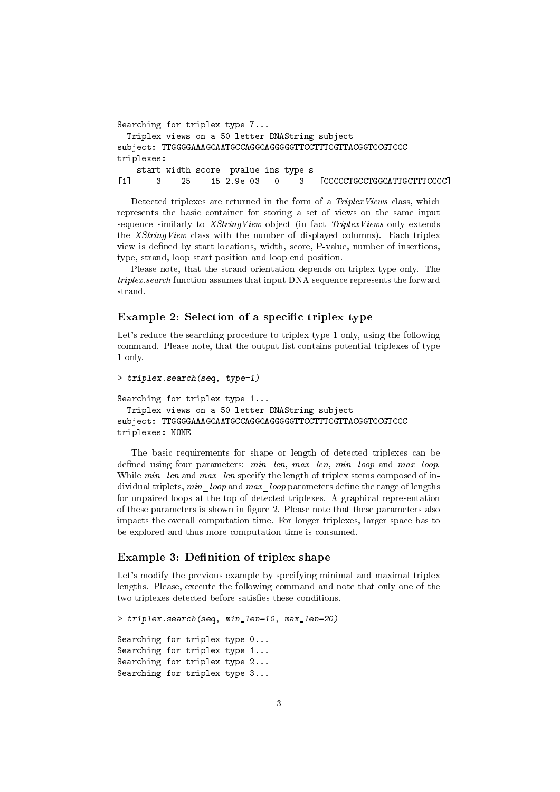```
Searching for triplex type 7...
 Triplex views on a 50-letter DNAString subject
subject: TTGGGGAAAGCAATGCCAGGCAGGGGGTTCCTTTCGTTACGGTCCGTCCC
triplexes:
   start width score pvalue ins type s
[1] 3 25 15 2.9e-03 0 3 - [CCCCCTGCCTGGCATTGCTTTCCCC]
```
Detected triplexes are returned in the form of a *TriplexViews* class, which represents the basic container for storing a set of views on the same input sequence similarly to XStringView object (in fact TriplexViews only extends the XStringView class with the number of displayed columns). Each triplex view is defined by start locations, width, score, P-value, number of insertions, type, strand, loop start position and loop end position.

Please note, that the strand orientation depends on triplex type only. The triplex.search function assumes that input DNA sequence represents the forward strand.

### Example 2: Selection of a specific triplex type

Let's reduce the searching procedure to triplex type 1 only, using the following command. Please note, that the output list contains potential triplexes of type 1 only.

```
> triplex.search(seq, type=1)
Searching for triplex type 1...
 Triplex views on a 50-letter DNAString subject
subject: TTGGGGAAAGCAATGCCAGGCAGGGGGTTCCTTTCGTTACGGTCCGTCCC
triplexes: NONE
```
The basic requirements for shape or length of detected triplexes can be defined using four parameters: min\_len, max\_len, min\_loop and max\_loop. While  $min\_len$  and  $max\_len$  specify the length of triplex stems composed of individual triplets,  $min\_loop$  and  $max\_loop$  parameters define the range of lengths for unpaired loops at the top of detected triplexes. A graphical representation of these parameters is shown in gure 2. Please note that these parameters also impacts the overall computation time. For longer triplexes, larger space has to be explored and thus more computation time is consumed.

#### Example 3: Definition of triplex shape

Let's modify the previous example by specifying minimal and maximal triplex lengths. Please, execute the following command and note that only one of the two triplexes detected before satisfies these conditions.

```
> triplex.search(seq, min_len=10, max_len=20)
Searching for triplex type 0...
Searching for triplex type 1...
Searching for triplex type 2...
Searching for triplex type 3...
```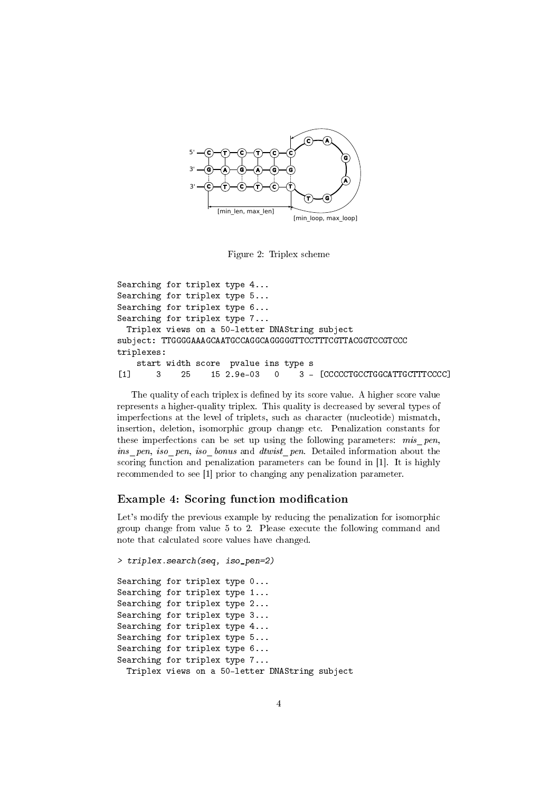

Figure 2: Triplex scheme

Searching for triplex type 4... Searching for triplex type 5... Searching for triplex type 6... Searching for triplex type 7... Triplex views on a 50-letter DNAString subject subject: TTGGGGAAAGCAATGCCAGGCAGGGGGTTCCTTTCGTTACGGTCCGTCCC triplexes: start width score pvalue ins type s [1] 3 25 15 2.9e-03 0 3 - [CCCCCTGCCTGGCATTGCTTTCCCC]

The quality of each triplex is defined by its score value. A higher score value represents a higher-quality triplex. This quality is decreased by several types of imperfections at the level of triplets, such as character (nucleotide) mismatch, insertion, deletion, isomorphic group change etc. Penalization constants for these imperfections can be set up using the following parameters: mis pen, ins pen, iso pen, iso bonus and dtwist pen. Detailed information about the scoring function and penalization parameters can be found in [1]. It is highly recommended to see [1] prior to changing any penalization parameter.

## Example 4: Scoring function modification

Let's modify the previous example by reducing the penalization for isomorphic group change from value 5 to 2. Please execute the following command and note that calculated score values have changed.

```
> triplex.search(seq, iso_pen=2)
Searching for triplex type 0...
Searching for triplex type 1...
Searching for triplex type 2...
Searching for triplex type 3...
Searching for triplex type 4...
Searching for triplex type 5...
Searching for triplex type 6...
Searching for triplex type 7...
  Triplex views on a 50-letter DNAString subject
```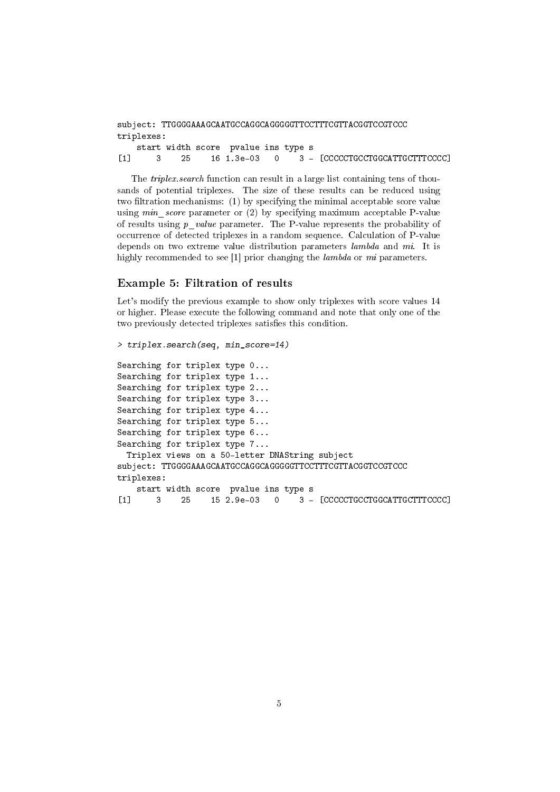| triplexes: |  |                                      |  |  |
|------------|--|--------------------------------------|--|--|
|            |  | start width score, pualue ins tupe s |  |  |

dth score pvalue ins type s [1] 3 25 16 1.3e-03 0 3 - [CCCCCTGCCTGGCATTGCTTTCCCC]

The triplex.search function can result in a large list containing tens of thousands of potential triplexes. The size of these results can be reduced using two filtration mechanisms: (1) by specifying the minimal acceptable score value using *min* score parameter or  $(2)$  by specifying maximum acceptable P-value of results using p\_value parameter. The P-value represents the probability of occurrence of detected triplexes in a random sequence. Calculation of P-value depends on two extreme value distribution parameters lambda and mi. It is highly recommended to see [1] prior changing the *lambda* or *mi* parameters.

#### Example 5: Filtration of results

Let's modify the previous example to show only triplexes with score values 14 or higher. Please execute the following command and note that only one of the two previously detected triplexes satisfies this condition.

```
> triplex.search(seq, min_score=14)
Searching for triplex type 0...
Searching for triplex type 1...
Searching for triplex type 2...
Searching for triplex type 3...
Searching for triplex type 4...
Searching for triplex type 5...
Searching for triplex type 6...
Searching for triplex type 7...
 Triplex views on a 50-letter DNAString subject
subject: TTGGGGAAAGCAATGCCAGGCAGGGGGTTCCTTTCGTTACGGTCCGTCCC
triplexes:
   start width score pvalue ins type s
[1] 3 25 15 2.9e-03 0 3 - [CCCCCTGCCTGGCATTGCTTTCCCC]
```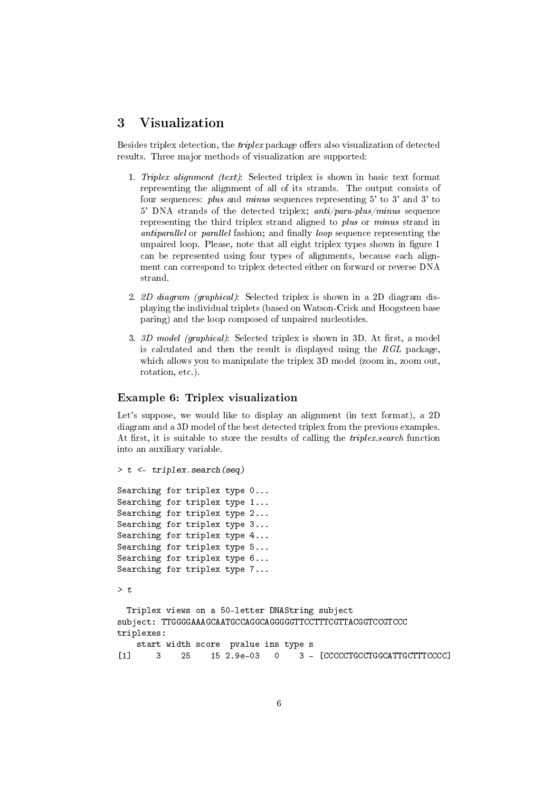## 3 Visualization

Besides triplex detection, the *triplex* package offers also visualization of detected results. Three major methods of visualization are supported:

- 1. Triplex alignment (text): Selected triplex is shown in basic text format representing the alignment of all of its strands. The output consists of four sequences: plus and minus sequences representing 5' to 3' and 3' to 5' DNA strands of the detected triplex;  $anti/para-plus/minus$  sequence representing the third triplex strand aligned to plus or minus strand in antiparallel or parallel fashion; and finally loop sequence representing the unpaired loop. Please, note that all eight triplex types shown in figure 1 can be represented using four types of alignments, because each alignment can correspond to triplex detected either on forward or reverse DNA strand.
- 2. 2D diagram (graphical): Selected triplex is shown in a 2D diagram displaying the individual triplets (based on Watson-Crick and Hoogsteen base paring) and the loop composed of unpaired nucleotides.
- 3.  $3D \text{ model (graphical):}$  Selected triplex is shown in 3D. At first, a model is calculated and then the result is displayed using the  $RGL$  package, which allows you to manipulate the triplex 3D model (zoom in, zoom out, rotation, etc.).

#### Example 6: Triplex visualization

Let's suppose, we would like to display an alignment (in text format), a 2D diagram and a 3D model of the best detected triplex from the previous examples. At first, it is suitable to store the results of calling the *triplex.search* function into an auxiliary variable.

> t <- triplex.search(seq)

```
Searching for triplex type 0...
Searching for triplex type 1...
Searching for triplex type 2...
Searching for triplex type 3...
Searching for triplex type 4...
Searching for triplex type 5...
Searching for triplex type 6...
Searching for triplex type 7...
```
 $> t$ 

```
Triplex views on a 50-letter DNAString subject
subject: TTGGGGAAAGCAATGCCAGGCAGGGGGTTCCTTTCGTTACGGTCCGTCCC
triplexes:
```

```
start width score pvalue ins type s
[1] 3 25 15 2.9e-03 0 3 - [CCCCCTGCCTGGCATTGCTTTCCCC]
```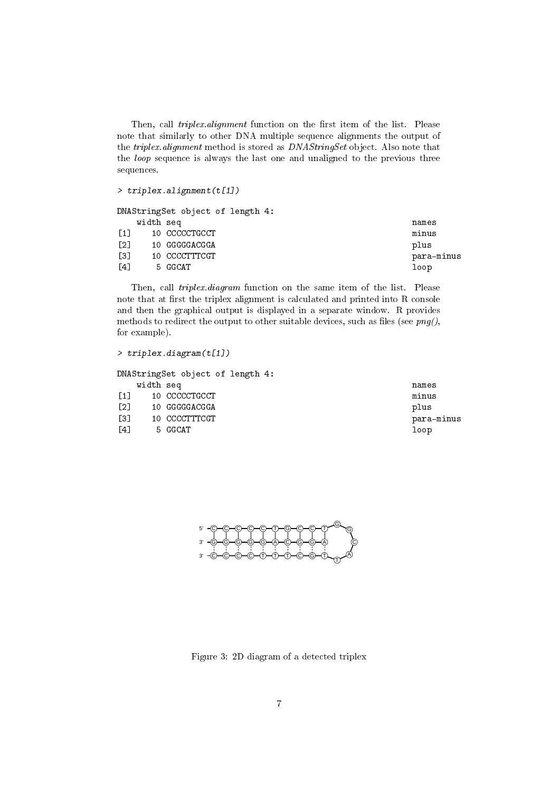Then, call triplex.alignment function on the first item of the list. Please note that similarly to other DNA multiple sequence alignments the output of the triplex.alignment method is stored as DNAStringSet object. Also note that the loop sequence is always the last one and unaligned to the previous three sequences.

```
> triplex.alignment(t[1])
```

|                   |           | DNAStringSet object of length 4: |            |
|-------------------|-----------|----------------------------------|------------|
|                   | width seq |                                  | names      |
| $\lceil 1 \rceil$ |           | 10 CCCCCTGCCT                    | minus      |
| $\lceil 2 \rceil$ |           | 10 GGGGGACGGA                    | plus       |
| $\left[3\right]$  |           | 10 CCCCTTTCGT                    | para-minus |
| $\lceil 4 \rceil$ |           | 5 GGCAT                          | loop       |

Then, call *triplex.diagram* function on the same item of the list. Please note that at first the triplex alignment is calculated and printed into R console and then the graphical output is displayed in a separate window. R provides methods to redirect the output to other suitable devices, such as files (see  $\text{png}($ ), for example).

```
> triplex.diagram(t[1])
```

|  | names                                                                                                       |
|--|-------------------------------------------------------------------------------------------------------------|
|  | minus                                                                                                       |
|  | plus                                                                                                        |
|  | para-minus                                                                                                  |
|  | loop                                                                                                        |
|  | DNAStringSet object of length 4:<br>width seq<br>10 CCCCCTGCCT<br>10 GGGGGACGGA<br>10 CCCCTTTCGT<br>5 GGCAT |

5' 3' 3' C)—(C)—(C)—(C)—(T)—(G)—(C)—(T)—(T G G C A T C)—(C)—(C)—(T)—(T)—(T)—(C)—(G)—(T (G)—(G)—(G)—(G)—(A)—(C)—(G)—(G)—(A

Figure 3: 2D diagram of a detected triplex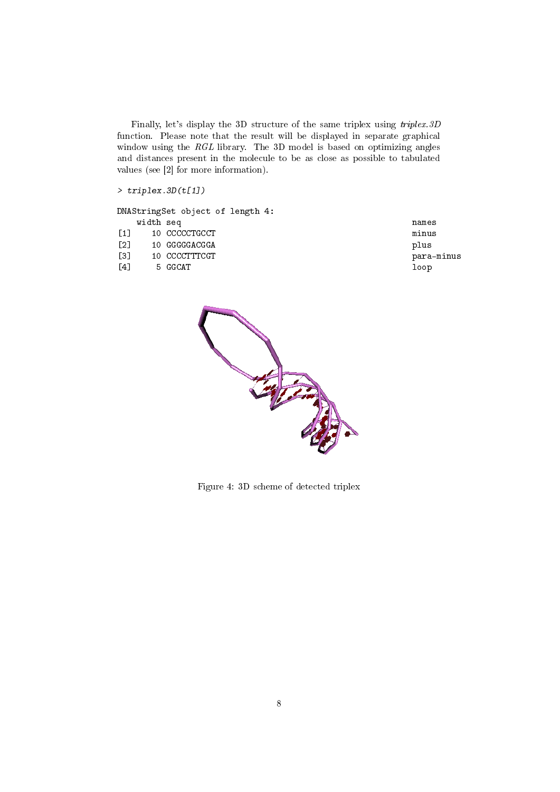Finally, let's display the 3D structure of the same triplex using triplex.3D function. Please note that the result will be displayed in separate graphical window using the RGL library. The 3D model is based on optimizing angles and distances present in the molecule to be as close as possible to tabulated values (see [2] for more information).

> triplex.3D(t[1])

DNAStringSet object of length 4: width seq names [1] 10 CCCCCTGCCT minus [2] 10 GGGGGACGGA plus [3] 10 CCCCTTTCGT para-minus [4] 5 GGCAT loop



Figure 4: 3D scheme of detected triplex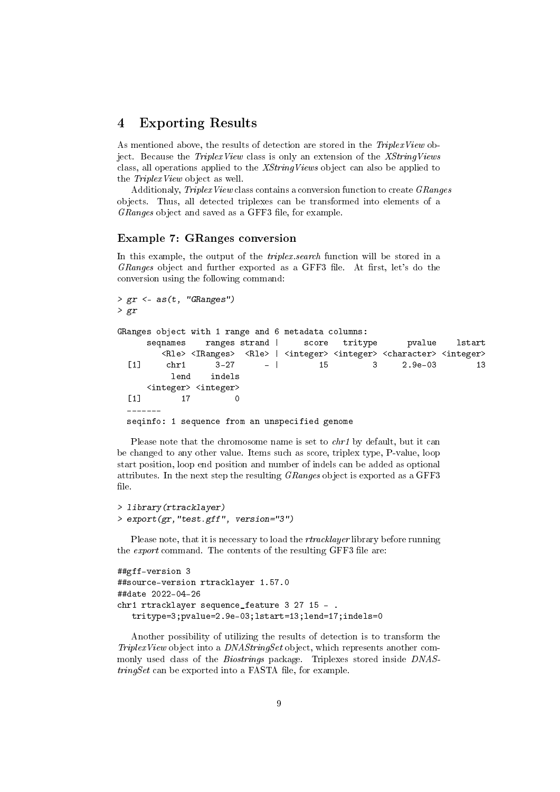## 4 Exporting Results

As mentioned above, the results of detection are stored in the *TriplexView* object. Because the *TriplexView* class is only an extension of the *XStringViews* class, all operations applied to the XStringViews object can also be applied to the TriplexView object as well.

Additionaly, TriplexView class contains a conversion function to create GRanges objects. Thus, all detected triplexes can be transformed into elements of a  $GRanges$  object and saved as a GFF3 file, for example.

#### Example 7: GRanges conversion

In this example, the output of the *triplex.search* function will be stored in a GRanges object and further exported as a GFF3 file. At first, let's do the conversion using the following command:

```
> gr < -as(t, "GRanges")> gr
GRanges object with 1 range and 6 metadata columns:
     seqnames ranges strand | score tritype  pvalue lstart
       <Rle> <IRanges> <Rle> | <integer> <integer> <character> <integer>
  [1] chr1 3-27 - | 15 3 2.9e-03 13
         lend indels
     <integer> <integer>
  [1] 17 0
  -------
 seqinfo: 1 sequence from an unspecified genome
```
Please note that the chromosome name is set to *chr1* by default, but it can be changed to any other value. Items such as score, triplex type, P-value, loop start position, loop end position and number of indels can be added as optional attributes. In the next step the resulting GRanges object is exported as a GFF3 file.

```
> library(rtracklayer)
> export(gr,"test.gff", version="3")
```
Please note, that it is necessary to load the *rtracklayer* library before running the *export* command. The contents of the resulting GFF3 file are:

```
##gff-version 3
##source-version rtracklayer 1.57.0
##date 2022-04-26
chr1 rtracklayer sequence_feature 3 27 15 - .
   tritype=3;pvalue=2.9e-03;lstart=13;lend=17;indels=0
```
Another possibility of utilizing the results of detection is to transform the TriplexView object into a DNAStringSet object, which represents another commonly used class of the Biostrings package. Triplexes stored inside DNAS $tringSet$  can be exported into a FASTA file, for example.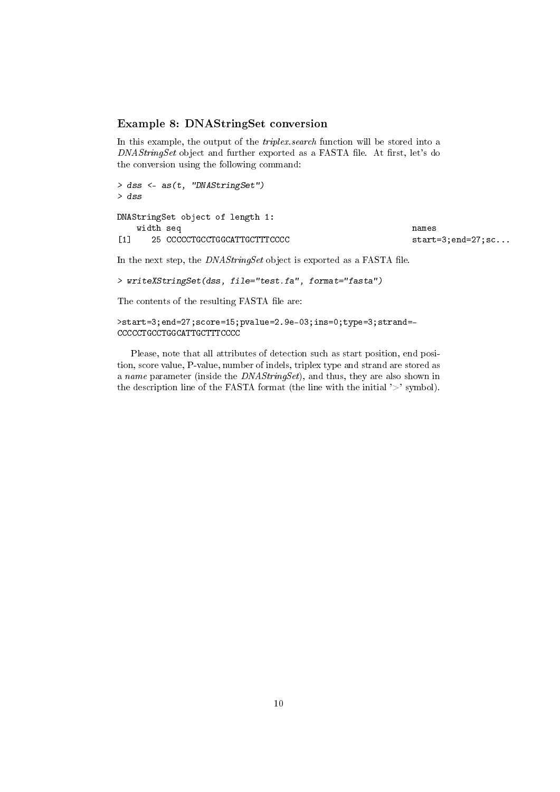### Example 8: DNAStringSet conversion

In this example, the output of the *triplex.search* function will be stored into a  $DNAStringSet$  object and further exported as a FASTA file. At first, let's do the conversion using the following command:

```
> dss <- as(t, "DNAStringSet")
> dss
DNAStringSet object of length 1:
  width seq names
[1] 25 CCCCCTGCCTGGCATTGCTTTCCCC start=3;end=27;sc...
```
In the next step, the  $DNAStringSet$  object is exported as a FASTA file.

```
> writeXStringSet(dss, file="test.fa", format="fasta")
```
The contents of the resulting FASTA file are:

```
>start=3;end=27;score=15;pvalue=2.9e-03;ins=0;type=3;strand=-
CCCCCTGCCTGGCATTGCTTTCCCC
```
Please, note that all attributes of detection such as start position, end position, score value, P-value, number of indels, triplex type and strand are stored as a name parameter (inside the DNAStringSet), and thus, they are also shown in the description line of the FASTA format (the line with the initial  $\geq$  symbol).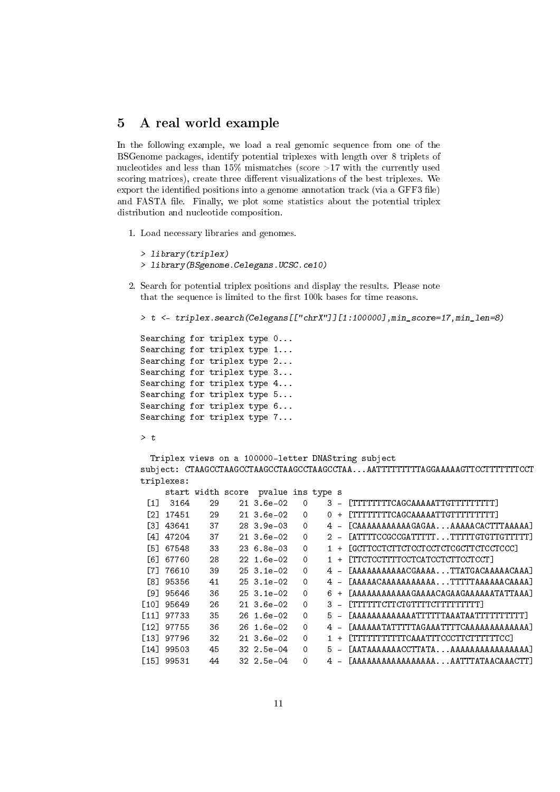# 5 A real world example

In the following example, we load a real genomic sequence from one of the BSGenome packages, identify potential triplexes with length over 8 triplets of nucleotides and less than 15% mismatches (score  $>17$  with the currently used scoring matrices), create three different visualizations of the best triplexes. We export the identified positions into a genome annotation track (via a GFF3 file) and FASTA file. Finally, we plot some statistics about the potential triplex distribution and nucleotide composition.

- 1. Load necessary libraries and genomes.
	- > library(triplex)
	- > library(BSgenome.Celegans.UCSC.ce10)
- 2. Search for potential triplex positions and display the results. Please note that the sequence is limited to the first 100k bases for time reasons.

```
> t <- triplex.search(Celegans[["chrX"]][1:100000],min_score=17,min_len=8)
```
Searching for triplex type 0... Searching for triplex type 1... Searching for triplex type 2... Searching for triplex type 3... Searching for triplex type 4... Searching for triplex type 5... Searching for triplex type 6... Searching for triplex type 7...

 $> t$ 

Triplex views on a 100000-letter DNAString subject subject: CTAAGCCTAAGCCTAAGCCTAAGCCTAAGCCTAA...AATTTTTTTTTAGGAAAAAGTTCCTTTTTTTCCT triplexes:

|                   |            | start width score | pvalue ins type s |             |       |                                          |
|-------------------|------------|-------------------|-------------------|-------------|-------|------------------------------------------|
| $\lceil 1 \rceil$ | 3164       | 29                | $21, 3.6e-02$     | $\Omega$    | $3 -$ | [TTTTTTTTCAGCAAAAATTGTTTTTTTTTT          |
| E21.              | 17451      | 29                | $21 \, 3.6e-02$   | $\Omega$    | $0 +$ | [TTTTTTTTCAGCAAAAATTGTTTTTTTTT]          |
|                   | [3] 43641  | 37                | $283.9e-03$       | 0           | 4 –   | [CAAAAAAAAAAAGAGAAAAAAACACTTTAAAAA]      |
|                   | [4] 47204  | 37                | $21 \, 3.6e-02$   | $\mathbf 0$ | $2 -$ | $[ATTTCCGCCGATTTTTTTTTTTGTGTTGTTTTTT]$   |
|                   | [5] 67548  | 33                | $236.8e-03$       | $\Omega$    |       | [GCTTCCTCTTCTCCTCCTCTCGCTTCTCCTCCC]      |
|                   | [6] 67760  | 28                | $22 \t1.6e-02$    | 0           |       | 1 + [TTCTCCTTTTCCTCATCCTCTTCCTCCT]       |
|                   | [7] 76610  | 39                | $253.1e-02$       | $\Omega$    | 4 –   | [AAAAAAAAAAACGAAAATTATGACAAAAACAAA]      |
|                   | [8] 95356  | 41                | $253.1e-02$       | $\Omega$    |       | 4 - [AAAAACAAAAAAAAAAAATTTTTAAAAAACAAAA] |
|                   | [9] 95646  | 36                | $253.1e-02$       | $\Omega$    | 6+    | [AAAAAAAAAAAAGAAAACAGAAGAAAAAATATTAAA]   |
|                   | [10] 95649 | 26                | $21, 3.6e-02$     | $\Omega$    |       | 3 - [TTTTTTCTTCTGTTTTCTTTTTTTTTT         |
|                   | [11] 97733 | 35                | 26 1.6e-02        | $\Omega$    |       |                                          |
|                   | [12] 97755 | 36                | 26 1.6e-02        | $\Omega$    |       | [AAAAAATATTTTTAGAAATTTTCAAAAAAAAAAAAA]   |
|                   | [13] 97796 | 32                | $21 \, 3.6e-02$   | $\mathbf 0$ |       | [TTTTTTTTTTCAAATTTCCCTTCTTTTTTCC]        |
|                   | [14] 99503 | 45                | $32, 2.5e-04$     | 0           |       | 5 - [AATAAAAAAACCTTATAAAAAAAAAAAAAAAAA]  |
|                   | [15] 99531 | 44                | $32, 2.5e-04$     | $\Omega$    |       | [AAAAAAAAAAAAAAAAAAAATTTATAACAAACTT]     |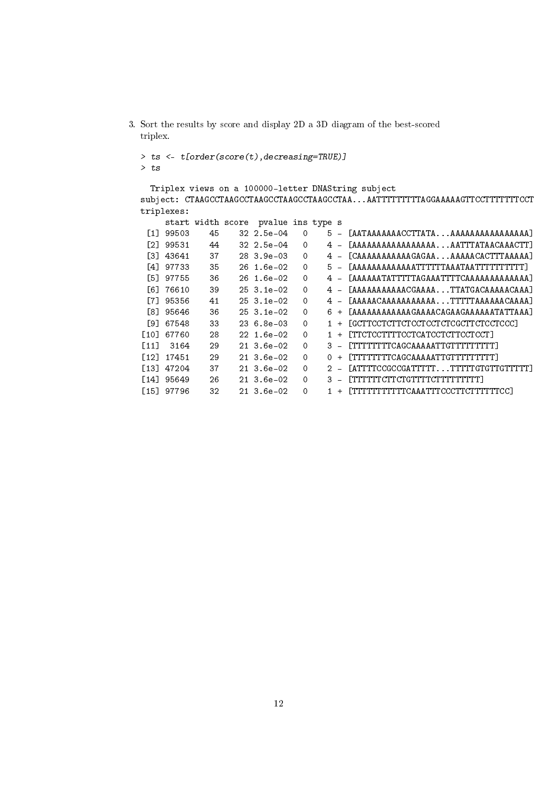```
3. Sort the results by score and display 2D a 3D diagram of the best-scored
   triplex.
   > ts <- t[order(score(t),decreasing=TRUE)]
   > ts
      Triplex views on a 100000-letter DNAString subject
   subject: CTAAGCCTAAGCCTAAGCCTAAGCCTAAGCCTAA...AATTTTTTTTAGGAAAAAGTTCCTTTTTTCCT
   triplexes:
     start width score pvalue ins type s<br>[1] 99503 45 32 2.5e-04 0 5 -
                               32 2.5e-04 0 5 - [AATAAAAAAACCTTATA...AAAAAAAAAAAAAAAA<br>32 2.5e-04 0 4 - [AAAAAAAAAAAAAAAAAA...AATTTATAACAAACTT]
     [2] 99531 44 32 2.5e-04 0 4 - [AAAAAAAAAAAAAAAAA...AATTTATAACAAACTT]
     [3] 43641 37 28 3.9e-03 0 4 - [CAAAAAAAAAAAGAGAA...AAAAACACTTTAAAAA]
     [4] 97733 35 26 1.6e-02 0 5 - [AAAAAAAAAAAATTTTTAAATAATTTTTTTTTTT<br>[5] 97755 36 26 1.6e-02 0 4 - [AAAAAATATTTTAGAAATTTTCAAAAAAAAAAAA
     [5] 97755 36 26 1.6e-02 0 4 - [AAAAAATATTTTTAGAAATTTTCAAAAAAAAAAAAAA]<br>[6] 76610 39 25 3.1e-02 0 4 - [AAAAAAAAAAAGGAAAA...TTATGACAAAAACAAA]
     [6] 76610 39 25 3.1e-02 0 4 - [AAAAAAAAAAACGAAAA...TTATGACAAAAACAAA]
     [7] 95356 41 25 3.1e-02 0 4 - [AAAAACAAAAAAAAAAA...TTTTTAAAAAACAAAA]
     [8] 95646 36 25 3.1e-02 0 6 + [AAAAAAAAAAAAGAAAACAGAAGAAAAAATATTAAA]
    [9] 67548 33 23 6.8e-03 0 1 + [GCTTCCTCTTCTCCTCCTCTCGCTTCTCCTCCC]
   [10] 67760 28 22 1.6e-02 0 1 + [TTCTCCTTTTCCTCATCCTCTTCCTCCT]
   [11] 3164 29 21 3.6e-02 0 3 - [TTTTTTTCAGCAAAAATTGTTTTTTTTT<br>[12] 17451 29 21 3.6e-02 0 0 + [TTTTTTTCAGCAAAAATTGTTTTTTTTT\begin{array}{ccccccccc} \texttt{[12]} & \texttt{17451} & \texttt{29} & \texttt{21} & \texttt{3.6e-02} & \texttt{0} & \texttt{0} + \texttt{[TTTTTTTCAGCAAAAATTGTTTTTTTT} \\ \texttt{[13]} & \texttt{47204} & \texttt{37} & \texttt{21} & \texttt{3.6e-02} & \texttt{0} & \texttt{2} - \texttt{[ATTTCCGCCGATTTTT}...TTTTTTGTGTT} \end{array}\begin{array}{cccc} \texttt{[13]} & 47204 & 37 & 213.6e-02 & 0 & 2 - [\texttt{ATTTCCGCGATTTTT} \ldots \texttt{TTTTGTTGTTTTTTT} \\ \texttt{[14]} & 95649 & 26 & 213.6e-02 & 0 & 3 - [\texttt{TTTTTCTTCTGTTTTTTTTTTTT} \end{array}[14] 95649 26 21 3.6e-02 0 3 - [TTTTTTCTTCTGTTTTCTTTTTTTTT]
   [15] 97796 32 21 3.6e-02 0 1 + [TTTTTTTTTTTCAAATTTCCCTTCTTTTTTCC]
```

```
12
```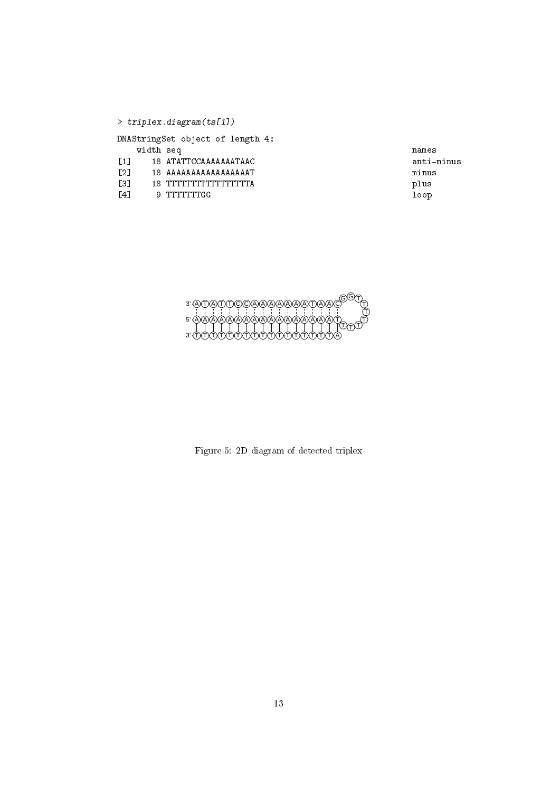|                   |           | $\rightarrow$ triplex.diagram(ts[1]) |       |
|-------------------|-----------|--------------------------------------|-------|
|                   |           | DNAStringSet object of length 4:     |       |
|                   | width seq |                                      | names |
| $\sqrt{11}$       |           | 18 ATATTCCAAAAAAATAAC                | anti- |
| $\lceil 2 \rceil$ |           | 18 AAAAAAAAAAAAAAAAT                 | minus |
| Г31               |           | 18 דדדדדדדדדדדדדדדדד                 | plus  |
| <b>141</b>        |           | 9 TTTTTTTGG                          | loop  |
|                   |           |                                      |       |

 $\frac{1}{2}$  anti-minus



Figure 5: 2D diagram of detected triplex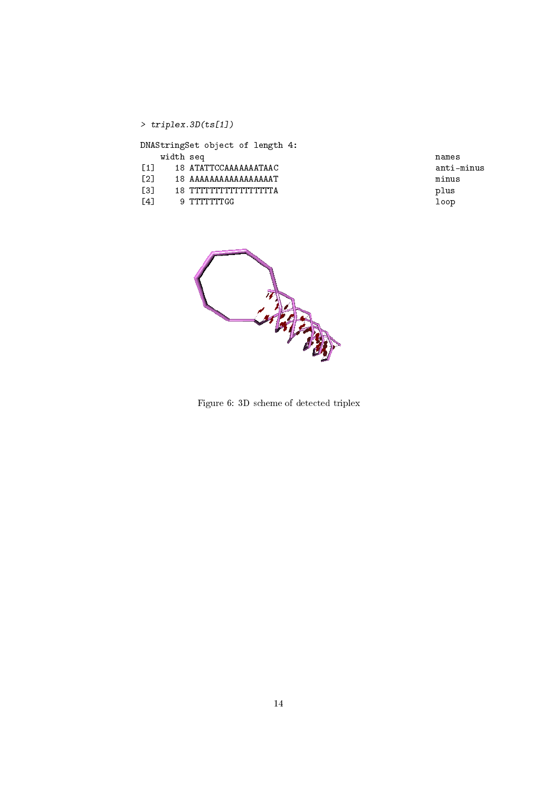|                   | $>$ triplex.3D(ts[1])            |       |
|-------------------|----------------------------------|-------|
|                   | DNAStringSet object of length 4: |       |
|                   | width seq                        | names |
| $\lceil 1 \rceil$ | 18 ATATTCCAAAAAAATAAC            | anti- |
| $\lceil 2 \rceil$ | 18 AAAAAAAAAAAAAAAAT             | minus |
| Г31               | 18 דדדדדדדדדדדדדדדדד             | plus  |
| $\lceil 4 \rceil$ | 9 TTTTTTTGG                      | loop  |

 $\verb|anti-minus|$ 



Figure 6: 3D scheme of detected triplex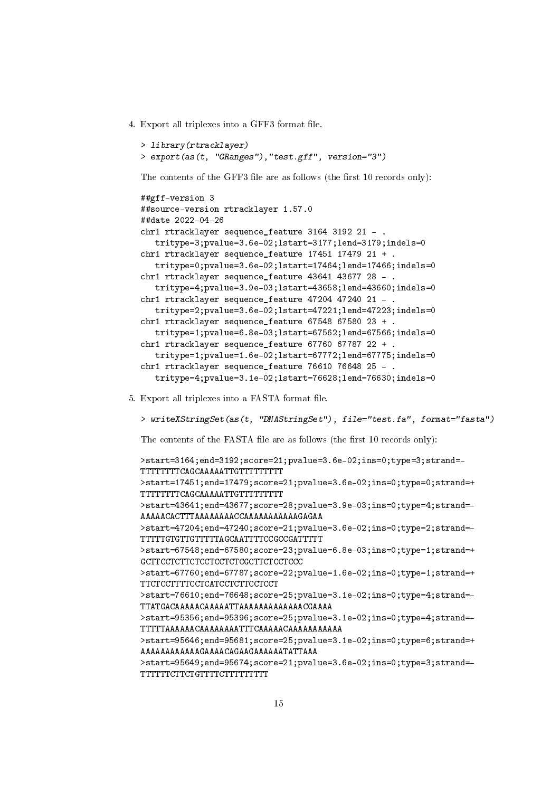4. Export all triplexes into a GFF3 format file.

```
> library(rtracklayer)
> export(as(t, "GRanges"),"test.gff", version="3")
```
The contents of the GFF3 file are as follows (the first 10 records only):

```
##gff-version 3
##source-version rtracklayer 1.57.0
##date 2022-04-26
chr1 rtracklayer sequence_feature 3164 3192 21 - .
   tritype=3;pvalue=3.6e-02;lstart=3177;lend=3179;indels=0
chr1 rtracklayer sequence_feature 17451 17479 21 + .
   tritype=0;pvalue=3.6e-02;lstart=17464;lend=17466;indels=0
chr1 rtracklayer sequence_feature 43641 43677 28 - .
   tritype=4;pvalue=3.9e-03;lstart=43658;lend=43660;indels=0
chr1 rtracklayer sequence_feature 47204 47240 21 - .
   tritype=2;pvalue=3.6e-02;lstart=47221;lend=47223;indels=0
chr1 rtracklayer sequence_feature 67548 67580 23 + .
   tritype=1;pvalue=6.8e-03;lstart=67562;lend=67566;indels=0
chr1 rtracklayer sequence_feature 67760 67787 22 + .
   tritype=1;pvalue=1.6e-02;lstart=67772;lend=67775;indels=0
chr1 rtracklayer sequence feature 76610 76648 25 - .
   tritype=4;pvalue=3.1e-02;lstart=76628;lend=76630;indels=0
```
5. Export all triplexes into a FASTA format file.

> writeXStringSet(as(t, "DNAStringSet"), file="test.fa", format="fasta") The contents of the FASTA file are as follows (the first 10 records only): >start=3164;end=3192;score=21;pvalue=3.6e-02;ins=0;type=3;strand=- TTTTTTTTCAGCAAAAATTGTTTTTTTTT >start=17451;end=17479;score=21;pvalue=3.6e-02;ins=0;type=0;strand=+ TTTTTTTTCAGCAAAAATTGTTTTTTTTT >start=43641;end=43677;score=28;pvalue=3.9e-03;ins=0;type=4;strand=- AAAAACACTTTAAAAAAAACCAAAAAAAAAAAGAGAA >start=47204;end=47240;score=21;pvalue=3.6e-02;ins=0;type=2;strand=- TTTTTGTGTTGTTTTTAGCAATTTTCCGCCGATTTTT >start=67548;end=67580;score=23;pvalue=6.8e-03;ins=0;type=1;strand=+ GCTTCCTCTTCTCCTCCTCTCGCTTCTCCTCCC >start=67760;end=67787;score=22;pvalue=1.6e-02;ins=0;type=1;strand=+ TTCTCCTTTTCCTCATCCTCTTCCTCCT >start=76610;end=76648;score=25;pvalue=3.1e-02;ins=0;type=4;strand=- TTATGACAAAAACAAAAATTAAAAAAAAAAAAACGAAAA >start=95356;end=95396;score=25;pvalue=3.1e-02;ins=0;type=4;strand=- TTTTTAAAAAACAAAAAAAATTTCAAAAACAAAAAAAAAAA >start=95646;end=95681;score=25;pvalue=3.1e-02;ins=0;type=6;strand=+ AAAAAAAAAAAAGAAAACAGAAGAAAAAATATTAAA >start=95649;end=95674;score=21;pvalue=3.6e-02;ins=0;type=3;strand=- TTTTTTCTTCTGTTTTCTTTTTTTTT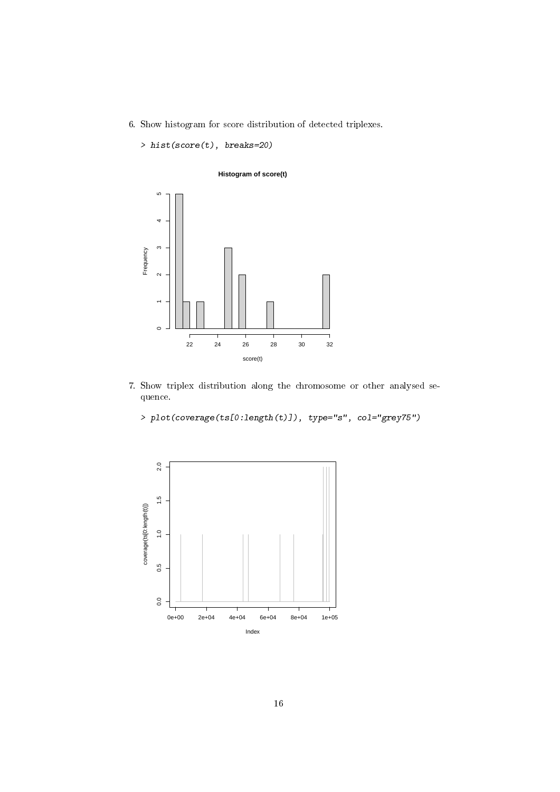6. Show histogram for score distribution of detected triplexes.

> hist(score(t), breaks=20)

J

# **Histogram of score(t)**  $\overline{5}$  $\overline{a}$  $\infty$ Frequency  $\sim$ 1<br>0  $\ddot{\phantom{1}}$  $\circ$

score(t)

22 24 26 28 30 32

7. Show triplex distribution along the chromosome or other analysed sequence.

> plot(coverage(ts[0:length(t)]), type="s", col="grey75")